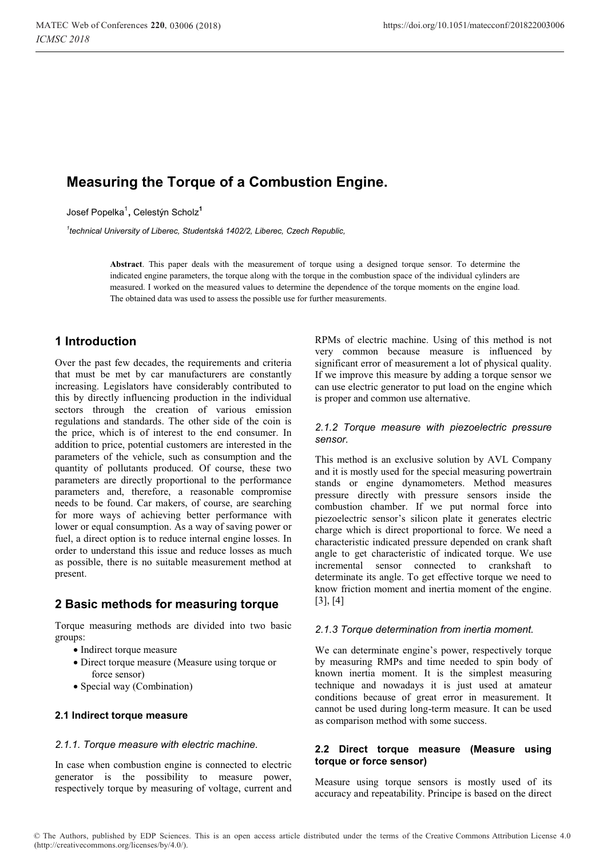# **Measuring the Torque of a Combustion Engine.**

Josef Popelka<sup>1</sup> **,** Celestýn Scholz**<sup>1</sup>**

*1 technical University of Liberec, Studentská 1402/2, Liberec, Czech Republic,* 

**Abstract**. This paper deals with the measurement of torque using a designed torque sensor. To determine the indicated engine parameters, the torque along with the torque in the combustion space of the individual cylinders are measured. I worked on the measured values to determine the dependence of the torque moments on the engine load. The obtained data was used to assess the possible use for further measurements.

## **1 Introduction**

Over the past few decades, the requirements and criteria that must be met by car manufacturers are constantly increasing. Legislators have considerably contributed to this by directly influencing production in the individual sectors through the creation of various emission regulations and standards. The other side of the coin is the price, which is of interest to the end consumer. In addition to price, potential customers are interested in the parameters of the vehicle, such as consumption and the quantity of pollutants produced. Of course, these two parameters are directly proportional to the performance parameters and, therefore, a reasonable compromise needs to be found. Car makers, of course, are searching for more ways of achieving better performance with lower or equal consumption. As a way of saving power or fuel, a direct option is to reduce internal engine losses. In order to understand this issue and reduce losses as much as possible, there is no suitable measurement method at present.

## **2 Basic methods for measuring torque**

Torque measuring methods are divided into two basic groups:

- Indirect torque measure
- Direct torque measure (Measure using torque or force sensor)
- Special way (Combination)

## **2.1 Indirect torque measure**

## *2.1.1. Torque measure with electric machine.*

In case when combustion engine is connected to electric generator is the possibility to measure power, respectively torque by measuring of voltage, current and RPMs of electric machine. Using of this method is not very common because measure is influenced by significant error of measurement a lot of physical quality. If we improve this measure by adding a torque sensor we can use electric generator to put load on the engine which is proper and common use alternative.

#### *2.1.2 Torque measure with piezoelectric pressure sensor.*

This method is an exclusive solution by AVL Company and it is mostly used for the special measuring powertrain stands or engine dynamometers. Method measures pressure directly with pressure sensors inside the combustion chamber. If we put normal force into piezoelectric sensor's silicon plate it generates electric charge which is direct proportional to force. We need a characteristic indicated pressure depended on crank shaft angle to get characteristic of indicated torque. We use incremental sensor connected to crankshaft to determinate its angle. To get effective torque we need to know friction moment and inertia moment of the engine. [3], [4]

## *2.1.3 Torque determination from inertia moment.*

We can determinate engine's power, respectively torque by measuring RMPs and time needed to spin body of known inertia moment. It is the simplest measuring technique and nowadays it is just used at amateur conditions because of great error in measurement. It cannot be used during long-term measure. It can be used as comparison method with some success.

## **2.2 Direct torque measure (Measure using torque or force sensor)**

Measure using torque sensors is mostly used of its accuracy and repeatability. Principe is based on the direct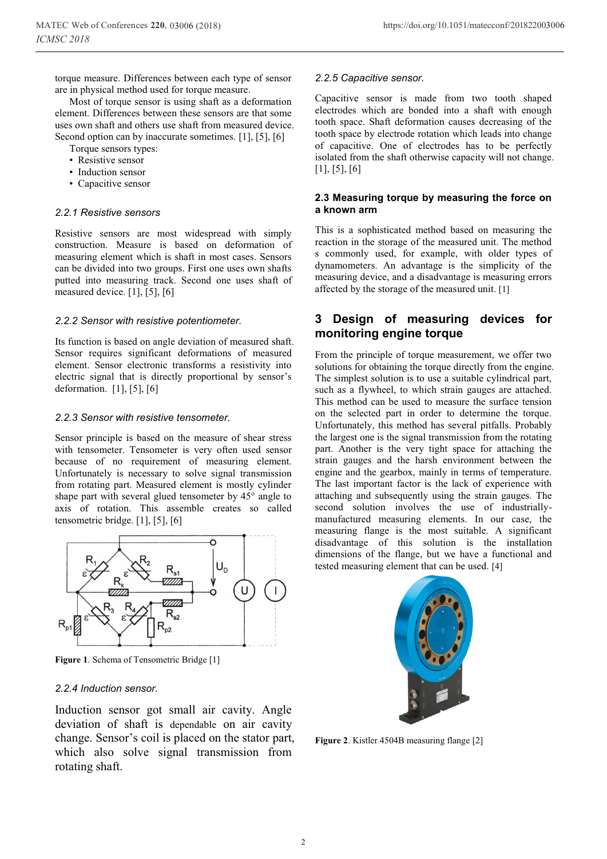torque measure. Differences between each type of sensor are in physical method used for torque measure.

Most of torque sensor is using shaft as a deformation element. Differences between these sensors are that some uses own shaft and others use shaft from measured device. Second option can by inaccurate sometimes. [1], [5], [6]

Torque sensors types:

- Resistive sensor
- Induction sensor
- Capacitive sensor

## *2.2.1 Resistive sensors*

Resistive sensors are most widespread with simply construction. Measure is based on deformation of measuring element which is shaft in most cases. Sensors can be divided into two groups. First one uses own shafts putted into measuring track. Second one uses shaft of measured device. [1], [5], [6]

## *2.2.2 Sensor with resistive potentiometer.*

Its function is based on angle deviation of measured shaft. Sensor requires significant deformations of measured element. Sensor electronic transforms a resistivity into electric signal that is directly proportional by sensor's deformation. [1], [5], [6]

## *2.2.3 Sensor with resistive tensometer.*

Sensor principle is based on the measure of shear stress with tensometer. Tensometer is very often used sensor because of no requirement of measuring element. Unfortunately is necessary to solve signal transmission from rotating part. Measured element is mostly cylinder shape part with several glued tensometer by 45° angle to axis of rotation. This assemble creates so called tensometric bridge. [1], [5], [6]



**Figure 1**. Schema of Tensometric Bridge [1]

## *2.2.4 Induction sensor.*

Induction sensor got small air cavity. Angle deviation of shaft is dependable on air cavity change. Sensor's coil is placed on the stator part, which also solve signal transmission from rotating shaft.

## *2.2.5 Capacitive sensor.*

Capacitive sensor is made from two tooth shaped electrodes which are bonded into a shaft with enough tooth space. Shaft deformation causes decreasing of the tooth space by electrode rotation which leads into change of capacitive. One of electrodes has to be perfectly isolated from the shaft otherwise capacity will not change.  $[1]$ ,  $[5]$ ,  $[6]$ 

### **2.3 Measuring torque by measuring the force on a known arm**

This is a sophisticated method based on measuring the reaction in the storage of the measured unit. The method s commonly used, for example, with older types of dynamometers. An advantage is the simplicity of the measuring device, and a disadvantage is measuring errors affected by the storage of the measured unit. [1]

## **3 Design of measuring devices for monitoring engine torque**

From the principle of torque measurement, we offer two solutions for obtaining the torque directly from the engine. The simplest solution is to use a suitable cylindrical part, such as a flywheel, to which strain gauges are attached. This method can be used to measure the surface tension on the selected part in order to determine the torque. Unfortunately, this method has several pitfalls. Probably the largest one is the signal transmission from the rotating part. Another is the very tight space for attaching the strain gauges and the harsh environment between the engine and the gearbox, mainly in terms of temperature. The last important factor is the lack of experience with attaching and subsequently using the strain gauges. The second solution involves the use of industriallymanufactured measuring elements. In our case, the measuring flange is the most suitable. A significant disadvantage of this solution is the installation dimensions of the flange, but we have a functional and tested measuring element that can be used. [4]



**Figure 2**. Kistler 4504B measuring flange [2]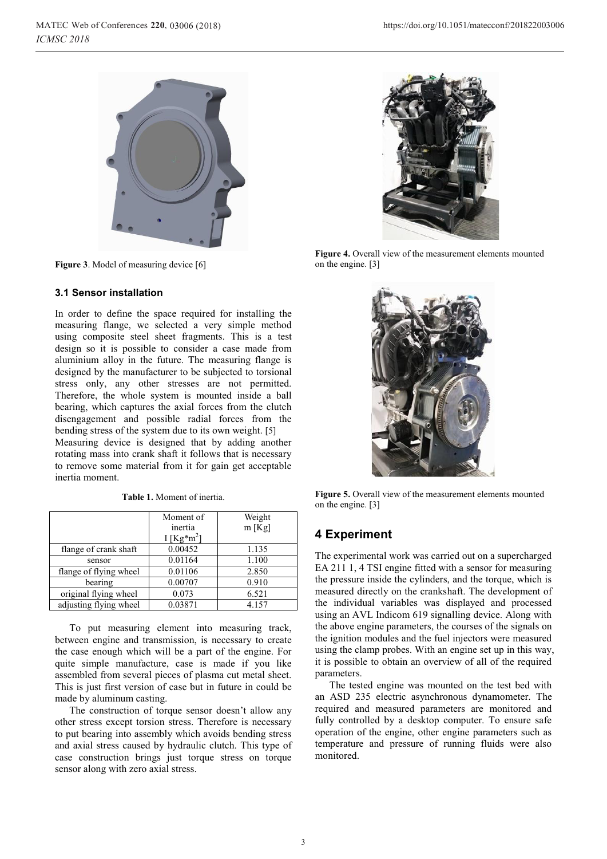

**Figure 3**. Model of measuring device [6]

## **3.1 Sensor installation**

In order to define the space required for installing the measuring flange, we selected a very simple method using composite steel sheet fragments. This is a test design so it is possible to consider a case made from aluminium alloy in the future. The measuring flange is designed by the manufacturer to be subjected to torsional stress only, any other stresses are not permitted. Therefore, the whole system is mounted inside a ball bearing, which captures the axial forces from the clutch disengagement and possible radial forces from the bending stress of the system due to its own weight. [5] Measuring device is designed that by adding another

rotating mass into crank shaft it follows that is necessary to remove some material from it for gain get acceptable inertia moment.

|                        | Moment of<br>inertia | Weight<br>$m$ [Kg] |
|------------------------|----------------------|--------------------|
|                        | I [ $Kg*m^2$ ]       |                    |
| flange of crank shaft  | 0.00452              | 1.135              |
| sensor                 | 0.01164              | 1.100              |
| flange of flying wheel | 0.01106              | 2.850              |
| bearing                | 0.00707              | 0.910              |
| original flying wheel  | 0.073                | 6.521              |
| adjusting flying wheel | 0.03871              | 4.157              |

**Table 1.** Moment of inertia.

To put measuring element into measuring track, between engine and transmission, is necessary to create the case enough which will be a part of the engine. For quite simple manufacture, case is made if you like assembled from several pieces of plasma cut metal sheet. This is just first version of case but in future in could be made by aluminum casting.

The construction of torque sensor doesn't allow any other stress except torsion stress. Therefore is necessary to put bearing into assembly which avoids bending stress and axial stress caused by hydraulic clutch. This type of case construction brings just torque stress on torque sensor along with zero axial stress.



**Figure 4.** Overall view of the measurement elements mounted on the engine. [3]



**Figure 5.** Overall view of the measurement elements mounted on the engine. [3]

## **4 Experiment**

The experimental work was carried out on a supercharged EA 211 1, 4 TSI engine fitted with a sensor for measuring the pressure inside the cylinders, and the torque, which is measured directly on the crankshaft. The development of the individual variables was displayed and processed using an AVL Indicom 619 signalling device. Along with the above engine parameters, the courses of the signals on the ignition modules and the fuel injectors were measured using the clamp probes. With an engine set up in this way, it is possible to obtain an overview of all of the required parameters.

The tested engine was mounted on the test bed with an ASD 235 electric asynchronous dynamometer. The required and measured parameters are monitored and fully controlled by a desktop computer. To ensure safe operation of the engine, other engine parameters such as temperature and pressure of running fluids were also monitored.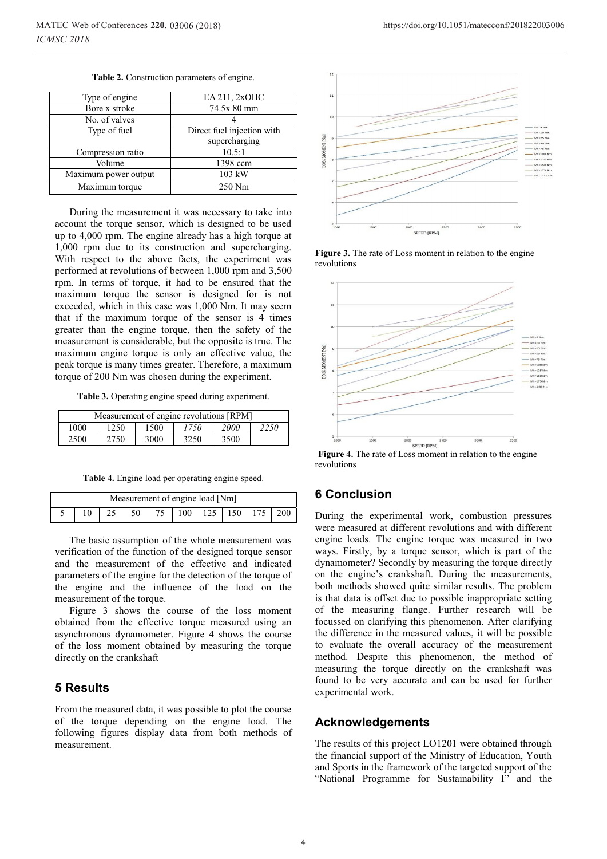| Table 2. Construction parameters of engine. |  |
|---------------------------------------------|--|
|                                             |  |

| Type of engine       | EA 211, 2xOHC              |  |  |
|----------------------|----------------------------|--|--|
| Bore x stroke        | 74.5x 80 mm                |  |  |
| No. of valves        |                            |  |  |
| Type of fuel         | Direct fuel injection with |  |  |
|                      | supercharging              |  |  |
| Compression ratio    | 10.5:1                     |  |  |
| Volume               | 1398 ccm                   |  |  |
| Maximum power output | 103 kW                     |  |  |
| Maximum torque       | 250 Nm                     |  |  |

During the measurement it was necessary to take into account the torque sensor, which is designed to be used up to 4,000 rpm. The engine already has a high torque at 1,000 rpm due to its construction and supercharging. With respect to the above facts, the experiment was performed at revolutions of between 1,000 rpm and 3,500 rpm. In terms of torque, it had to be ensured that the maximum torque the sensor is designed for is not exceeded, which in this case was 1,000 Nm. It may seem that if the maximum torque of the sensor is 4 times greater than the engine torque, then the safety of the measurement is considerable, but the opposite is true. The maximum engine torque is only an effective value, the peak torque is many times greater. Therefore, a maximum torque of 200 Nm was chosen during the experiment.

**Table 3.** Operating engine speed during experiment.

| Measurement of engine revolutions [RPM] |      |      |      |              |  |  |
|-----------------------------------------|------|------|------|--------------|--|--|
| 1000                                    | 1250 |      | 1750 | 2250<br>2000 |  |  |
| 2500                                    | 2750 | 3000 | 3250 | 3500         |  |  |

**Table 4.** Engine load per operating engine speed.

| Measurement of engine load [Nm] |  |  |  |  |  |  |                                                     |  |  |
|---------------------------------|--|--|--|--|--|--|-----------------------------------------------------|--|--|
|                                 |  |  |  |  |  |  | 5   10   25   50   75   100   125   150   175   200 |  |  |

The basic assumption of the whole measurement was verification of the function of the designed torque sensor and the measurement of the effective and indicated parameters of the engine for the detection of the torque of the engine and the influence of the load on the measurement of the torque.

Figure 3 shows the course of the loss moment obtained from the effective torque measured using an asynchronous dynamometer. Figure 4 shows the course of the loss moment obtained by measuring the torque directly on the crankshaft

## **5 Results**

From the measured data, it was possible to plot the course of the torque depending on the engine load. The following figures display data from both methods of measurement.





**Figure 3.** The rate of Loss moment in relation to the engine revolutions



**Figure 4.** The rate of Loss moment in relation to the engine revolutions

## **6 Conclusion**

During the experimental work, combustion pressures were measured at different revolutions and with different engine loads. The engine torque was measured in two ways. Firstly, by a torque sensor, which is part of the dynamometer? Secondly by measuring the torque directly on the engine's crankshaft. During the measurements, both methods showed quite similar results. The problem is that data is offset due to possible inappropriate setting of the measuring flange. Further research will be focussed on clarifying this phenomenon. After clarifying the difference in the measured values, it will be possible to evaluate the overall accuracy of the measurement method. Despite this phenomenon, the method of measuring the torque directly on the crankshaft was found to be very accurate and can be used for further experimental work.

## **Acknowledgements**

The results of this project LO1201 were obtained through the financial support of the Ministry of Education, Youth and Sports in the framework of the targeted support of the "National Programme for Sustainability I" and the